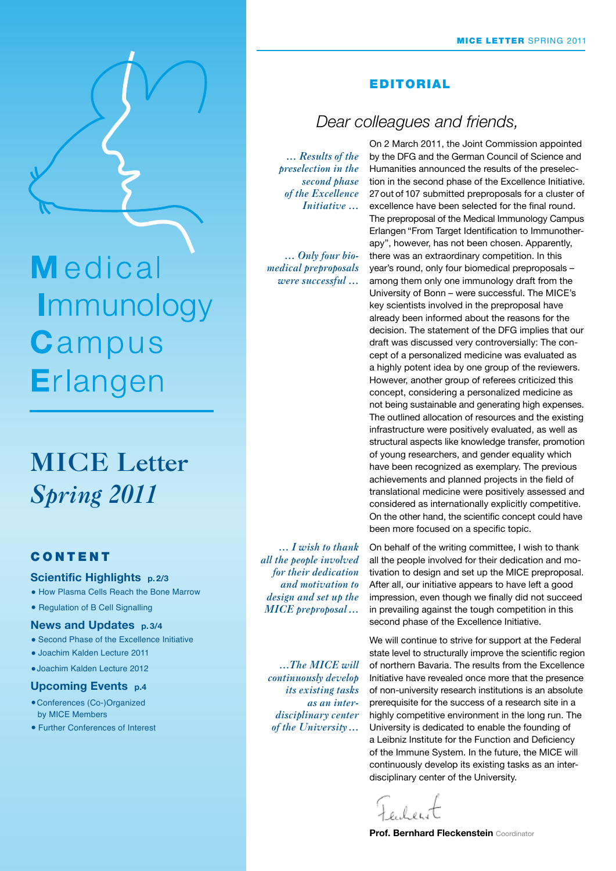

Medical Immunology Campus Erlangen

# **MICE Letter** *Spring 2011*

# **CONTENT**

#### **Scientific Highlights p. 2/3**

- How Plasma Cells Reach the Bone Marrow
- Regulation of B Cell Signalling

#### **News and Updates p. 3/4**

- Second Phase of the Excellence Initiative
- Joachim Kalden Lecture 2011
- •Joachim Kalden Lecture 2012

#### **Upcoming Events p.4**

- •Conferences (Co-)Organized by MICE Members
- Further Conferences of Interest

# Editorial

# *Dear colleagues and friends,*

*… Results of the preselection in the second phase of the Excellence Initiative …*

*… Only four biomedical preproposals were successful …*

On 2 March 2011, the Joint Commission appointed by the DFG and the German Council of Science and Humanities announced the results of the preselection in the second phase of the Excellence Initiative. 27out of 107 submitted preproposals for a cluster of excellence have been selected for the final round. The preproposal of the Medical Immunology Campus Erlangen "From Target Identification to Immunotherapy", however, has not been chosen. Apparently, there was an extraordinary competition. In this year's round, only four biomedical preproposals – among them only one immunology draft from the University of Bonn – were successful. The MICE's key scientists involved in the preproposal have already been informed about the reasons for the decision. The statement of the DFG implies that our draft was discussed very controversially: The concept of a personalized medicine was evaluated as a highly potent idea by one group of the reviewers. However, another group of referees criticized this concept, considering a personalized medicine as not being sustainable and generating high expenses. The outlined allocation of resources and the existing infrastructure were positively evaluated, as well as structural aspects like knowledge transfer, promotion of young researchers, and gender equality which have been recognized as exemplary. The previous achievements and planned projects in the field of translational medicine were positively assessed and considered as internationally explicitly competitive. On the other hand, the scientific concept could have been more focused on a specific topic.

*… I wish to thank all the people involved for their dedication and motivation to design and set up the MICE preproposal …*

*…The MICE will continuously develop its existing tasks as an interdisciplinary center of the University…*

On behalf of the writing committee, I wish to thank all the people involved for their dedication and motivation to design and set up the MICE preproposal. After all, our initiative appears to have left a good impression, even though we finally did not succeed in prevailing against the tough competition in this second phase of the Excellence Initiative.

We will continue to strive for support at the Federal state level to structurally improve the scientific region of northern Bavaria. The results from the Excellence Initiative have revealed once more that the presence of non-university research institutions is an absolute prerequisite for the success of a research site in a highly competitive environment in the long run. The University is dedicated to enable the founding of a Leibniz Institute for the Function and Deficiency of the Immune System. In the future, the MICE will continuously develop its existing tasks as an interdisciplinary center of the University.

**Prof. Bernhard Fleckenstein** Coordinator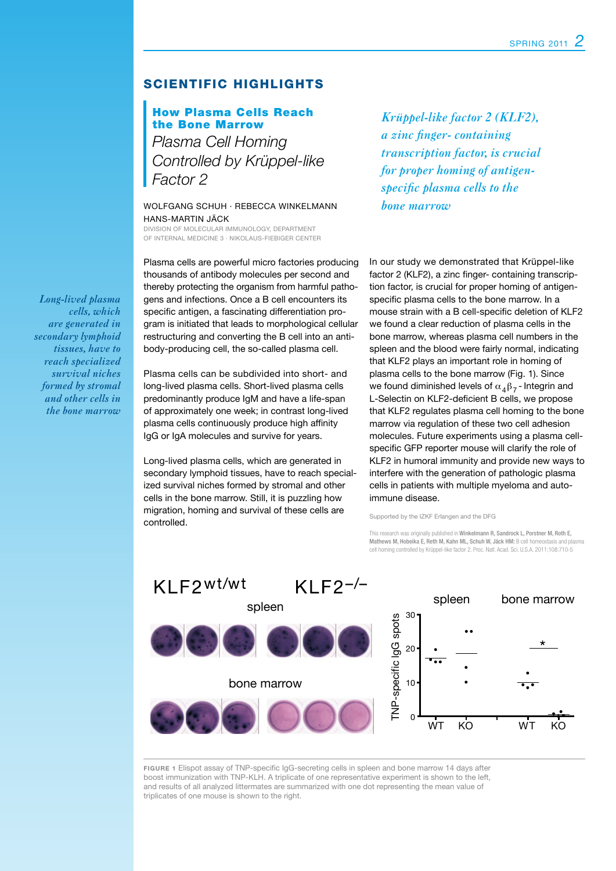# SCIENTIFIC HIGHLIGHTS

# How Plasma Cells Reach the Bone Marrow

*Plasma Cell Homing Controlled by Krüppel-like Factor 2*

Wolfgang Schuh · Rebecca Winkelmann Hans-Martin Jäck

Division of Molecular Immunology, Department of Internal Medicine 3 · Nikolaus-Fiebiger Center

Plasma cells are powerful micro factories producing thousands of antibody molecules per second and thereby protecting the organism from harmful pathogens and infections. Once a B cell encounters its specific antigen, a fascinating differentiation program is initiated that leads to morphological cellular restructuring and converting the B cell into an antibody-producing cell, the so-called plasma cell.

Plasma cells can be subdivided into short- and long-lived plasma cells. Short-lived plasma cells predominantly produce IgM and have a life-span of approximately one week; in contrast long-lived plasma cells continuously produce high affinity IgG or IgA molecules and survive for years.

Long-lived plasma cells, which are generated in secondary lymphoid tissues, have to reach specialized survival niches formed by stromal and other cells in the bone marrow. Still, it is puzzling how migration, homing and survival of these cells are controlled.

*Krüppel-like factor 2 (KLF2), a zinc finger- containing transcription factor, is crucial for proper homing of antigenspecific plasma cells to the bone marrow*

In our study we demonstrated that Krüppel-like factor 2 (KLF2), a zinc finger- containing transcription factor, is crucial for proper homing of antigenspecific plasma cells to the bone marrow. In a mouse strain with a B cell-specific deletion of KLF2 we found a clear reduction of plasma cells in the bone marrow, whereas plasma cell numbers in the spleen and the blood were fairly normal, indicating that KLF2 plays an important role in homing of plasma cells to the bone marrow (Fig. 1). Since we found diminished levels of  $\alpha_4\beta_7$ -Integrin and L-Selectin on KLF2-deficient B cells, we propose that KLF2 regulates plasma cell homing to the bone marrow via regulation of these two cell adhesion molecules. Future experiments using a plasma cellspecific GFP reporter mouse will clarify the role of KLF2 in humoral immunity and provide new ways to interfere with the generation of pathologic plasma cells in patients with multiple myeloma and autoimmune disease.

Supported by the IZKF Erlangen and the DFG

This research was originally published in Winkelmann R, Sandrock L, Porstner M, Roth E, Mathews M, Hobeika E, Reth M, Kahn ML, Schuh W, Jäck HM: B cell homeostasis and plasma cell homing controlled by Krüppel-like factor 2. Proc. Natl. Acad. Sci. U.S.A. 2011;108:710-5



**Figure 1** Elispot assay of TNP-specific IgG-secreting cells in spleen and bone marrow 14 days after boost immunization with TNP-KLH. A triplicate of one representative experiment is shown to the left, and results of all analyzed littermates are summarized with one dot representing the mean value of triplicates of one mouse is shown to the right.

*Long-lived plasma cells, which are generated in secondary lymphoid tissues, have to reach specialized survival niches formed by stromal and other cells in the bone marrow*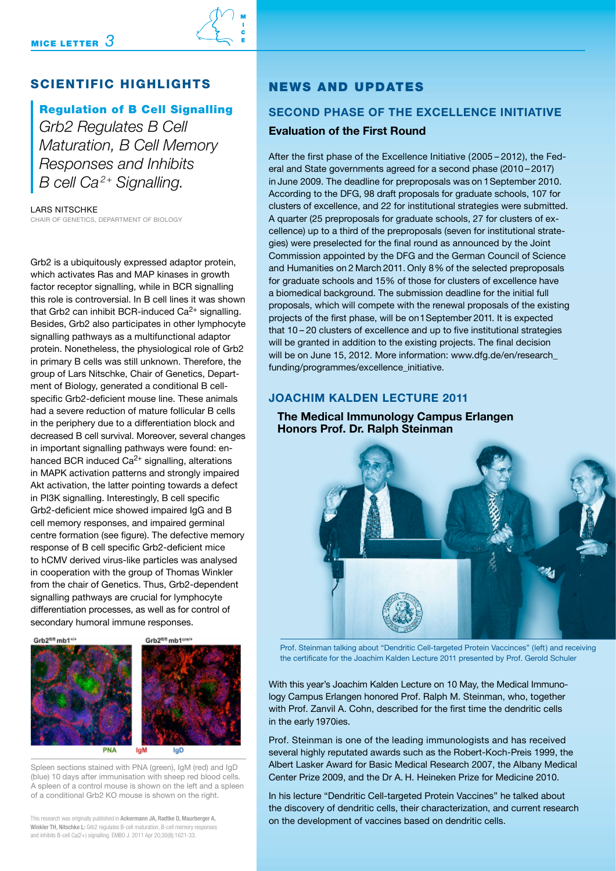# MICE LETTER  $3$



# Scientific Highlights

# Regulation of B Cell Signalling

*Grb2 Regulates B Cell Maturation, B Cell Memory Responses and Inhibits B cell Ca 2+ Signalling.*

Lars Nitschke Chair of Genetics, Department of Biology

Grb2 is a ubiquitously expressed adaptor protein, which activates Ras and MAP kinases in growth factor receptor signalling, while in BCR signalling this role is controversial. In B cell lines it was shown that Grb2 can inhibit BCR-induced  $Ca<sup>2+</sup>$  signalling. Besides, Grb2 also participates in other lymphocyte signalling pathways as a multifunctional adaptor protein. Nonetheless, the physiological role of Grb2 in primary B cells was still unknown. Therefore, the group of Lars Nitschke, Chair of Genetics, Department of Biology, generated a conditional B cellspecific Grb2-deficient mouse line. These animals had a severe reduction of mature follicular B cells in the periphery due to a differentiation block and decreased B cell survival. Moreover, several changes in important signalling pathways were found: enhanced BCR induced  $Ca^{2+}$  signalling, alterations in MAPK activation patterns and strongly impaired Akt activation, the latter pointing towards a defect in PI3K signalling. Interestingly, B cell specific Grb2-deficient mice showed impaired IgG and B cell memory responses, and impaired germinal centre formation (see figure). The defective memory response of B cell specific Grb2-deficient mice to hCMV derived virus-like particles was analysed in cooperation with the group of Thomas Winkler from the chair of Genetics. Thus, Grb2-dependent signalling pathways are crucial for lymphocyte differentiation processes, as well as for control of secondary humoral immune responses.



Spleen sections stained with PNA (green), IgM (red) and IgD (blue) 10 days after immunisation with sheep red blood cells. A spleen of a control mouse is shown on the left and a spleen of a conditional Grb2 KO mouse is shown on the right.

This research was originally published in Ackermann JA, Radtke D, Maurberger A, Winkler TH, Nitschke L: Grb2 regulates B-cell maturation, B-cell memory responses and inhibits B-cell Ca(2+) signalling. EMBO J. 2011 Apr 20;30(8):1621-33.

# News and Updates

# **Second Phase of the Excellence Initiative Evaluation of the First Round**

After the first phase of the Excellence Initiative (2005 – 2012), the Federal and State governments agreed for a second phase (2010 – 2017) in June 2009. The deadline for preproposals was on 1 September 2010. According to the DFG, 98 draft proposals for graduate schools, 107 for clusters of excellence, and 22 for institutional strategies were submitted. A quarter (25 preproposals for graduate schools, 27 for clusters of excellence) up to a third of the preproposals (seven for institutional strate-gies) were preselected for the final round as announced by the Joint Commission appointed by the DFG and the German Council of Science and Humanities on 2 March 2011. Only 8% of the selected preproposals for graduate schools and 15% of those for clusters of excellence have a biomedical background. The submission deadline for the initial full proposals, which will compete with the renewal proposals of the existing projects of the first phase, will be on 1 September 2011. It is expected that 10 – 20 clusters of excellence and up to five institutional strategies will be granted in addition to the existing projects. The final decision will be on June 15, 2012. More information: www.dfg.de/en/research\_ funding/programmes/excellence\_initiative.

## **Joachim Kalden Lecture 2011**

## **The Medical Immunology Campus Erlangen Honors Prof. Dr. Ralph Steinman**



Prof. Steinman talking about "Dendritic Cell-targeted Protein Vaccinces" (left) and receiving the certificate for the Joachim Kalden Lecture 2011 presented by Prof. Gerold Schuler

With this year's Joachim Kalden Lecture on 10 May, the Medical Immunology Campus Erlangen honored Prof. Ralph M. Steinman, who, together with Prof. Zanvil A. Cohn, described for the first time the dendritic cells in the early 1970ies.

Prof. Steinman is one of the leading immunologists and has received several highly reputated awards such as the Robert-Koch-Preis 1999, the Albert Lasker Award for Basic Medical Research 2007, the Albany Medical Center Prize 2009, and the Dr A. H. Heineken Prize for Medicine 2010.

In his lecture "Dendritic Cell-targeted Protein Vaccines" he talked about the discovery of dendritic cells, their characterization, and current research on the development of vaccines based on dendritic cells.